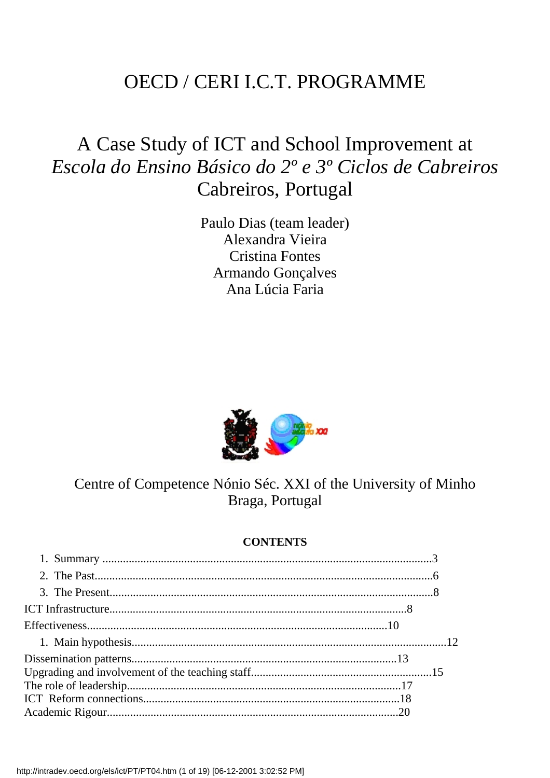### OECD / CERI I.C.T. PROGRAMME

## A Case Study of ICT and School Improvement at *Escola do Ensino Básico do 2º e 3º Ciclos de Cabreiros* Cabreiros, Portugal

Paulo Dias (team leader) Alexandra Vieira Cristina Fontes Armando Gonçalves Ana Lúcia Faria



### Centre of Competence Nónio Séc. XXI of the University of Minho Braga, Portugal

#### **CONTENTS**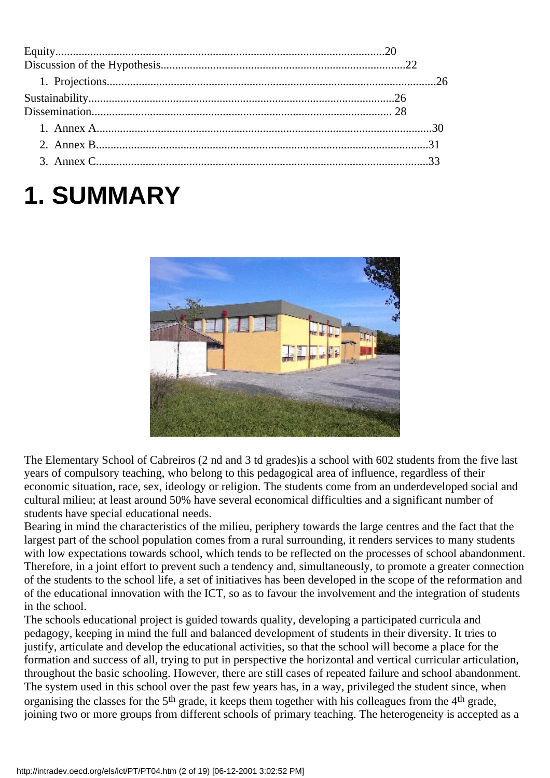# **1. SUMMARY**



The Elementary School of Cabreiros (2 nd and 3 td grades)is a school with 602 students from the five last years of compulsory teaching, who belong to this pedagogical area of influence, regardless of their economic situation, race, sex, ideology or religion. The students come from an underdeveloped social and cultural milieu; at least around 50% have several economical difficulties and a significant number of students have special educational needs.

Bearing in mind the characteristics of the milieu, periphery towards the large centres and the fact that the largest part of the school population comes from a rural surrounding, it renders services to many students with low expectations towards school, which tends to be reflected on the processes of school abandonment. Therefore, in a joint effort to prevent such a tendency and, simultaneously, to promote a greater connection of the students to the school life, a set of initiatives has been developed in the scope of the reformation and of the educational innovation with the ICT, so as to favour the involvement and the integration of students in the school.

The school s educational project is guided towards quality, developing a participated curricula and pedagogy, keeping in mind the full and balanced development of students in their diversity. It tries to justify, articulate and develop the educational activities, so that the school will become a place for the formation and success of all, trying to put in perspective the horizontal and vertical curricular articulation, throughout the basic schooling. However, there are still cases of repeated failure and school abandonment. The system used in this school over the past few years has, in a way, privileged the student since, when organising the classes for the 5th grade, it keeps them together with his colleagues from the 4th grade, joining two or more groups from different schools of primary teaching. The heterogeneity is accepted as a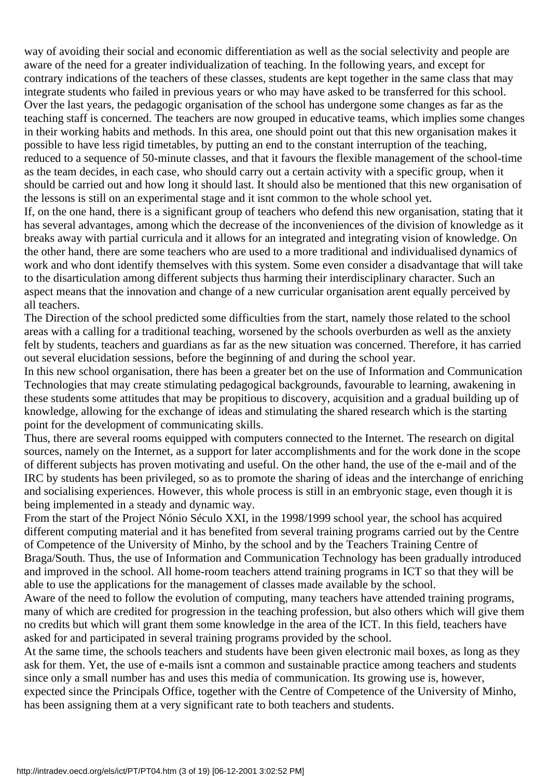way of avoiding their social and economic differentiation as well as the social selectivity and people are aware of the need for a greater individualization of teaching. In the following years, and except for contrary indications of the teachers of these classes, students are kept together in the same class that may integrate students who failed in previous years or who may have asked to be transferred for this school. Over the last years, the pedagogic organisation of the school has undergone some changes as far as the teaching staff is concerned. The teachers are now grouped in educative teams, which implies some changes in their working habits and methods. In this area, one should point out that this new organisation makes it possible to have less rigid timetables, by putting an end to the constant interruption of the teaching, reduced to a sequence of 50-minute classes, and that it favours the flexible management of the school-time as the team decides, in each case, who should carry out a certain activity with a specific group, when it should be carried out and how long it should last. It should also be mentioned that this new organisation of the lessons is still on an experimental stage and it isnt common to the whole school yet.

If, on the one hand, there is a significant group of teachers who defend this new organisation, stating that it has several advantages, among which the decrease of the inconveniences of the division of knowledge as it breaks away with partial curricula and it allows for an integrated and integrating vision of knowledge. On the other hand, there are some teachers who are used to a more traditional and individualised dynamics of work and who dont identify themselves with this system. Some even consider a disadvantage that will take to the disarticulation among different subjects thus harming their interdisciplinary character. Such an aspect means that the innovation and change of a new curricular organisation arent equally perceived by all teachers.

The Direction of the school predicted some difficulties from the start, namely those related to the school areas with a calling for a traditional teaching, worsened by the school s overburden as well as the anxiety felt by students, teachers and guardians as far as the new situation was concerned. Therefore, it has carried out several elucidation sessions, before the beginning of and during the school year.

In this new school organisation, there has been a greater bet on the use of Information and Communication Technologies that may create stimulating pedagogical backgrounds, favourable to learning, awakening in these students some attitudes that may be propitious to discovery, acquisition and a gradual building up of knowledge, allowing for the exchange of ideas and stimulating the shared research which is the starting point for the development of communicating skills.

Thus, there are several rooms equipped with computers connected to the Internet. The research on digital sources, namely on the Internet, as a support for later accomplishments and for the work done in the scope of different subjects has proven motivating and useful. On the other hand, the use of the e-mail and of the IRC by students has been privileged, so as to promote the sharing of ideas and the interchange of enriching and socialising experiences. However, this whole process is still in an embryonic stage, even though it is being implemented in a steady and dynamic way.

From the start of the Project Nónio Século XXI, in the 1998/1999 school year, the school has acquired different computing material and it has benefited from several training programs carried out by the Centre of Competence of the University of Minho, by the school and by the Teachers Training Centre of Braga/South. Thus, the use of Information and Communication Technology has been gradually introduced and improved in the school. All home-room teachers attend training programs in ICT so that they will be able to use the applications for the management of classes made available by the school.

Aware of the need to follow the evolution of computing, many teachers have attended training programs, many of which are credited for progression in the teaching profession, but also others which will give them no credits but which will grant them some knowledge in the area of the ICT. In this field, teachers have asked for and participated in several training programs provided by the school.

At the same time, the schools teachers and students have been given electronic mail boxes, as long as they ask for them. Yet, the use of e-mails isnt a common and sustainable practice among teachers and students since only a small number has and uses this media of communication. Its growing use is, however, expected since the Principal s Office, together with the Centre of Competence of the University of Minho, has been assigning them at a very significant rate to both teachers and students.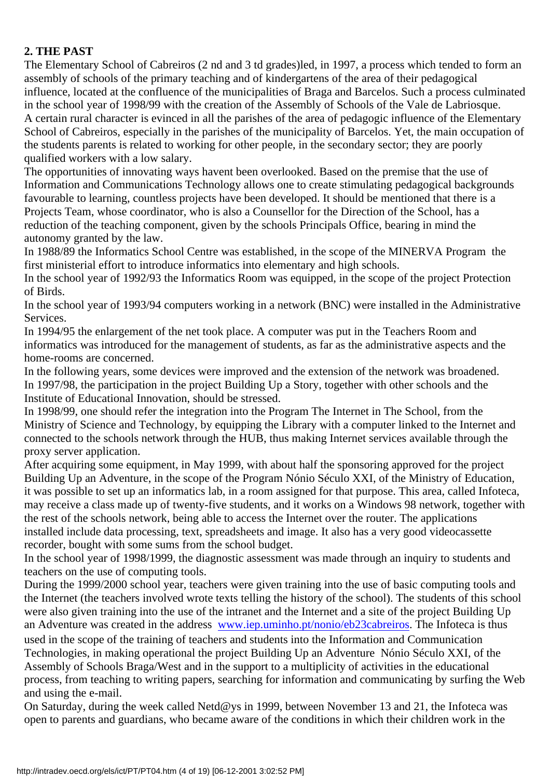#### **2. THE PAST**

The Elementary School of Cabreiros (2 nd and 3 td grades)led, in 1997, a process which tended to form an assembly of schools of the primary teaching and of kindergartens of the area of their pedagogical influence, located at the confluence of the municipalities of Braga and Barcelos. Such a process culminated in the school year of 1998/99 with the creation of the Assembly of Schools of the Vale de Labriosque. A certain rural character is evinced in all the parishes of the area of pedagogic influence of the Elementary School of Cabreiros, especially in the parishes of the municipality of Barcelos. Yet, the main occupation of the students parents is related to working for other people, in the secondary sector; they are poorly qualified workers with a low salary.

The opportunities of innovating ways haven t been overlooked. Based on the premise that the use of Information and Communications Technology allows one to create stimulating pedagogical backgrounds favourable to learning, countless projects have been developed. It should be mentioned that there is a Projects Team, whose coordinator, who is also a Counsellor for the Direction of the School, has a reduction of the teaching component, given by the school s Principal s Office, bearing in mind the autonomy granted by the law.

In 1988/89 the Informatics School Centre was established, in the scope of the MINERVA Program the first ministerial effort to introduce informatics into elementary and high schools.

In the school year of 1992/93 the Informatics Room was equipped, in the scope of the project Protection of Birds.

In the school year of 1993/94 computers working in a network (BNC) were installed in the Administrative Services.

In 1994/95 the enlargement of the net took place. A computer was put in the Teachers Room and informatics was introduced for the management of students, as far as the administrative aspects and the home-rooms are concerned.

In the following years, some devices were improved and the extension of the network was broadened. In 1997/98, the participation in the project Building Up a Story, together with other schools and the Institute of Educational Innovation, should be stressed.

In 1998/99, one should refer the integration into the Program The Internet in The School, from the Ministry of Science and Technology, by equipping the Library with a computer linked to the Internet and connected to the school s network through the HUB, thus making Internet services available through the proxy server application.

After acquiring some equipment, in May 1999, with about half the sponsoring approved for the project Building Up an Adventure, in the scope of the Program Nónio Século XXI, of the Ministry of Education, it was possible to set up an informatics lab, in a room assigned for that purpose. This area, called Infoteca, may receive a class made up of twenty-five students, and it works on a Windows 98 network, together with the rest of the school s network, being able to access the Internet over the router. The applications installed include data processing, text, spreadsheets and image. It also has a very good videocassette recorder, bought with some sums from the school budget.

In the school year of 1998/1999, the diagnostic assessment was made through an inquiry to students and teachers on the use of computing tools.

During the 1999/2000 school year, teachers were given training into the use of basic computing tools and the Internet (the teachers involved wrote texts telling the history of the school). The students of this school were also given training into the use of the intranet and the Internet and a site of the project Building Up an Adventure was created in the address [www.iep.uminho.pt/nonio/eb23cabreiros.](http://www.iep.uminho.pt/nonio/eb23cabreiros) The Infoteca is thus

used in the scope of the training of teachers and students into the Information and Communication Technologies, in making operational the project Building Up an Adventure Nónio Século XXI, of the Assembly of Schools Braga/West and in the support to a multiplicity of activities in the educational process, from teaching to writing papers, searching for information and communicating by surfing the Web and using the e-mail.

On Saturday, during the week called Netd@ys in 1999, between November 13 and 21, the Infoteca was open to parents and guardians, who became aware of the conditions in which their children work in the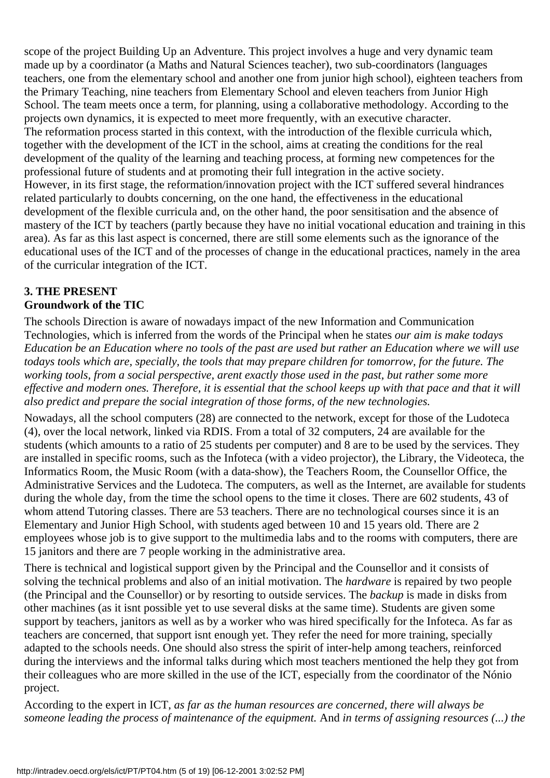scope of the project Building Up an Adventure. This project involves a huge and very dynamic team made up by a coordinator (a Maths and Natural Sciences teacher), two sub-coordinators (languages teachers, one from the elementary school and another one from junior high school), eighteen teachers from the Primary Teaching, nine teachers from Elementary School and eleven teachers from Junior High School. The team meets once a term, for planning, using a collaborative methodology. According to the project s own dynamics, it is expected to meet more frequently, with an executive character. The reformation process started in this context, with the introduction of the flexible curricula which, together with the development of the ICT in the school, aims at creating the conditions for the real development of the quality of the learning and teaching process, at forming new competences for the professional future of students and at promoting their full integration in the active society. However, in its first stage, the reformation/innovation project with the ICT suffered several hindrances related particularly to doubts concerning, on the one hand, the effectiveness in the educational development of the flexible curricula and, on the other hand, the poor sensitisation and the absence of mastery of the ICT by teachers (partly because they have no initial vocational education and training in this area). As far as this last aspect is concerned, there are still some elements such as the ignorance of the educational uses of the ICT and of the processes of change in the educational practices, namely in the area of the curricular integration of the ICT.

#### **3. THE PRESENT Groundwork of the TIC**

The school s Direction is aware of nowadays impact of the new Information and Communication Technologies, which is inferred from the words of the Principal when he states *our aim is make todays Education be an Education where no tools of the past are used but rather an Education where we will use todays tools which are, specially, the tools that may prepare children for tomorrow, for the future. The working tools, from a social perspective, arent exactly those used in the past, but rather some more effective and modern ones. Therefore, it is essential that the school keeps up with that pace and that it will also predict and prepare the social integration of those forms, of the new technologies.*

Nowadays, all the school computers (28) are connected to the network, except for those of the Ludoteca (4), over the local network, linked via RDIS. From a total of 32 computers, 24 are available for the students (which amounts to a ratio of 25 students per computer) and 8 are to be used by the services. They are installed in specific rooms, such as the Infoteca (with a video projector), the Library, the Videoteca, the Informatics Room, the Music Room (with a data-show), the Teachers Room, the Counsellor Office, the Administrative Services and the Ludoteca. The computers, as well as the Internet, are available for students during the whole day, from the time the school opens to the time it closes. There are 602 students, 43 of whom attend Tutoring classes. There are 53 teachers. There are no technological courses since it is an Elementary and Junior High School, with students aged between 10 and 15 years old. There are 2 employees whose job is to give support to the multimedia labs and to the rooms with computers, there are 15 janitors and there are 7 people working in the administrative area.

There is technical and logistical support given by the Principal and the Counsellor and it consists of solving the technical problems and also of an initial motivation. The *hardware* is repaired by two people (the Principal and the Counsellor) or by resorting to outside services. The *backup* is made in disks from other machines (as it isnt possible yet to use several disks at the same time). Students are given some support by teachers, janitors as well as by a worker who was hired specifically for the Infoteca. As far as teachers are concerned, that support isnt enough yet. They refer the need for more training, specially adapted to the school s needs. One should also stress the spirit of inter-help among teachers, reinforced during the interviews and the informal talks during which most teachers mentioned the help they got from their colleagues who are more skilled in the use of the ICT, especially from the coordinator of the Nónio project.

According to the expert in ICT, *as far as the human resources are concerned, there will always be someone leading the process of maintenance of the equipment.* And *in terms of assigning resources (...) the*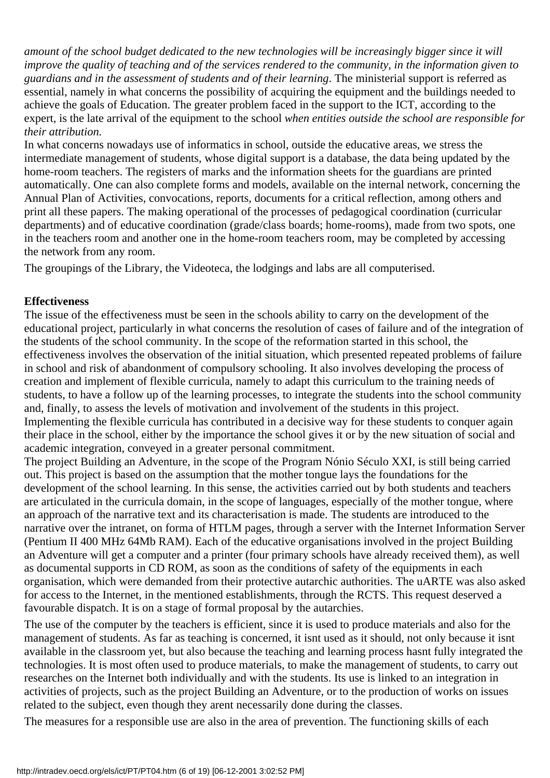*amount of the school budget dedicated to the new technologies will be increasingly bigger since it will improve the quality of teaching and of the services rendered to the community, in the information given to guardians and in the assessment of students and of their learning*. The ministerial support is referred as essential, namely in what concerns the possibility of acquiring the equipment and the buildings needed to achieve the goals of Education. The greater problem faced in the support to the ICT, according to the expert, is the late arrival of the equipment to the school *when entities outside the school are responsible for their attribution.*

In what concerns nowadays use of informatics in school, outside the educative areas, we stress the intermediate management of students, whose digital support is a database, the data being updated by the home-room teachers. The registers of marks and the information sheets for the guardians are printed automatically. One can also complete forms and models, available on the internal network, concerning the Annual Plan of Activities, convocations, reports, documents for a critical reflection, among others and print all these papers. The making operational of the processes of pedagogical coordination (curricular departments) and of educative coordination (grade/class boards; home-rooms), made from two spots, one in the teachers room and another one in the home-room teachers room, may be completed by accessing the network from any room.

The groupings of the Library, the Videoteca, the lodgings and labs are all computerised.

#### **Effectiveness**

The issue of the effectiveness must be seen in the school s ability to carry on the development of the educational project, particularly in what concerns the resolution of cases of failure and of the integration of the students of the school community. In the scope of the reformation started in this school, the effectiveness involves the observation of the initial situation, which presented repeated problems of failure in school and risk of abandonment of compulsory schooling. It also involves developing the process of creation and implement of flexible curricula, namely to adapt this curriculum to the training needs of students, to have a follow up of the learning processes, to integrate the students into the school community and, finally, to assess the levels of motivation and involvement of the students in this project. Implementing the flexible curricula has contributed in a decisive way for these students to conquer again their place in the school, either by the importance the school gives it or by the new situation of social and academic integration, conveyed in a greater personal commitment.

The project Building an Adventure, in the scope of the Program Nónio Século XXI, is still being carried out. This project is based on the assumption that the mother tongue lays the foundations for the development of the school learning. In this sense, the activities carried out by both students and teachers are articulated in the curricula domain, in the scope of languages, especially of the mother tongue, where an approach of the narrative text and its characterisation is made. The students are introduced to the narrative over the intranet, on forma of HTLM pages, through a server with the Internet Information Server (Pentium II 400 MHz 64Mb RAM). Each of the educative organisations involved in the project Building an Adventure will get a computer and a printer (four primary schools have already received them), as well as documental supports in CD ROM, as soon as the conditions of safety of the equipments in each organisation, which were demanded from their protective autarchic authorities. The uARTE was also asked for access to the Internet, in the mentioned establishments, through the RCTS. This request deserved a favourable dispatch. It is on a stage of formal proposal by the autarchies.

The use of the computer by the teachers is efficient, since it is used to produce materials and also for the management of students. As far as teaching is concerned, it isn t used as it should, not only because it isn t available in the classroom yet, but also because the teaching and learning process hasnt fully integrated the technologies. It is most often used to produce materials, to make the management of students, to carry out researches on the Internet both individually and with the students. Its use is linked to an integration in activities of projects, such as the project Building an Adventure, or to the production of works on issues related to the subject, even though they arent necessarily done during the classes.

The measures for a responsible use are also in the area of prevention. The functioning skills of each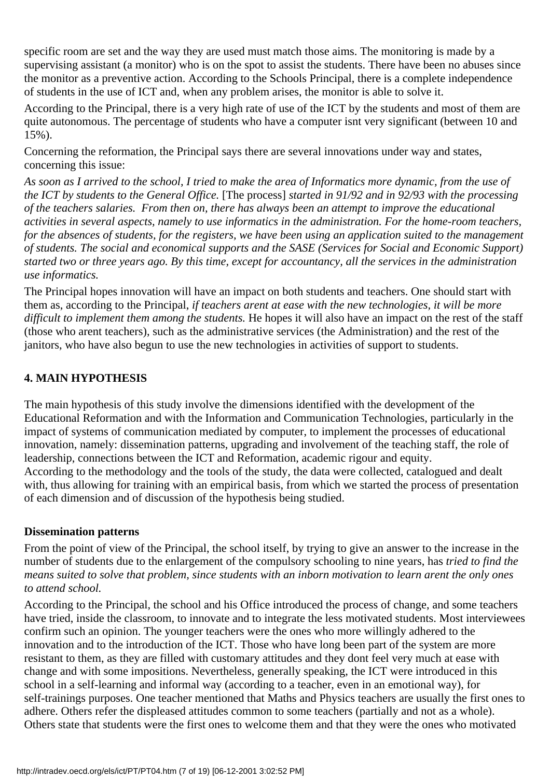specific room are set and the way they are used must match those aims. The monitoring is made by a supervising assistant (a monitor) who is on the spot to assist the students. There have been no abuses since the monitor as a preventive action. According to the School s Principal, there is a complete independence of students in the use of ICT and, when any problem arises, the monitor is able to solve it.

According to the Principal, there is a very high rate of use of the ICT by the students and most of them are quite autonomous. The percentage of students who have a computer isn t very significant (between 10 and 15%).

Concerning the reformation, the Principal says there are several innovations under way and states, concerning this issue:

*As soon as I arrived to the school, I tried to make the area of Informatics more dynamic, from the use of the ICT by students to the General Office.* [The process] *started in 91/92 and in 92/93 with the processing of the teachers salaries. From then on, there has always been an attempt to improve the educational activities in several aspects, namely to use informatics in the administration. For the home-room teachers, for the absences of students, for the registers, we have been using an application suited to the management of students. The social and economical supports and the SASE (Services for Social and Economic Support) started two or three years ago. By this time, except for accountancy, all the services in the administration use informatics.*

The Principal hopes innovation will have an impact on both students and teachers. One should start with them as, according to the Principal, *if teachers arent at ease with the new technologies, it will be more difficult to implement them among the students.* He hopes it will also have an impact on the rest of the staff (those who arent teachers), such as the administrative services (the Administration) and the rest of the janitors, who have also begun to use the new technologies in activities of support to students.

#### **4. MAIN HYPOTHESIS**

The main hypothesis of this study involve the dimensions identified with the development of the Educational Reformation and with the Information and Communication Technologies, particularly in the impact of systems of communication mediated by computer, to implement the processes of educational innovation, namely: dissemination patterns, upgrading and involvement of the teaching staff, the role of leadership, connections between the ICT and Reformation, academic rigour and equity. According to the methodology and the tools of the study, the data were collected, catalogued and dealt with, thus allowing for training with an empirical basis, from which we started the process of presentation of each dimension and of discussion of the hypothesis being studied.

#### **Dissemination patterns**

From the point of view of the Principal, the school itself, by trying to give an answer to the increase in the number of students due to the enlargement of the compulsory schooling to nine years, has *tried to find the means suited to solve that problem, since students with an inborn motivation to learn arent the only ones to attend school.*

According to the Principal, the school and his Office introduced the process of change, and some teachers have tried, inside the classroom, to innovate and to integrate the less motivated students. Most interviewees confirm such an opinion. The younger teachers were the ones who more willingly adhered to the innovation and to the introduction of the ICT. Those who have long been part of the system are more resistant to them, as they are filled with customary attitudes and they dont feel very much at ease with change and with some impositions. Nevertheless, generally speaking, the ICT were introduced in this school in a self-learning and informal way (according to a teacher, even in an emotional way), for self-trainings purposes. One teacher mentioned that Maths and Physics teachers are usually the first ones to adhere. Others refer the displeased attitudes common to some teachers (partially and not as a whole). Others state that students were the first ones to welcome them and that they were the ones who motivated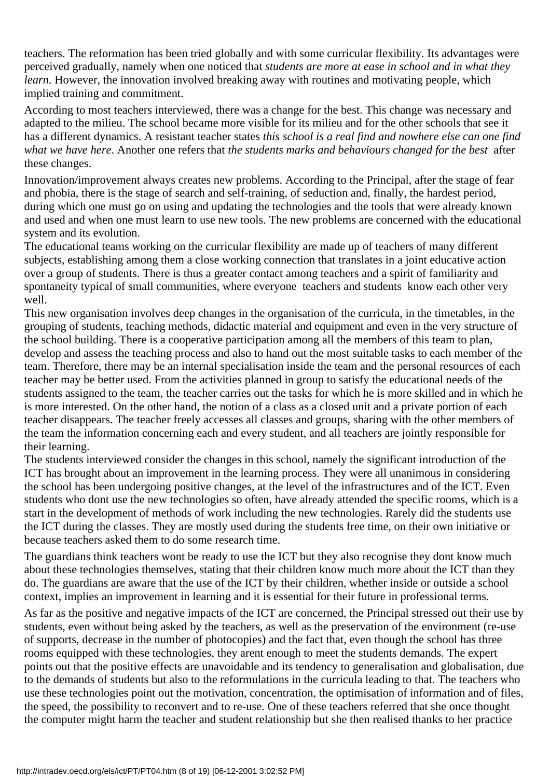teachers. The reformation has been tried globally and with some curricular flexibility. Its advantages were perceived gradually, namely when one noticed that *students are more at ease in school and in what they learn.* However, the innovation involved breaking away with routines and motivating people, which implied training and commitment.

According to most teachers interviewed, there was a change for the best. This change was necessary and adapted to the milieu. The school became more visible for its milieu and for the other schools that see it has a different dynamics. A resistant teacher states *this school is a real find and nowhere else can one find what we have here.* Another one refers that *the students marks and behaviours changed for the best* after these changes.

Innovation/improvement always creates new problems. According to the Principal, after the stage of fear and phobia, there is the stage of search and self-training, of seduction and, finally, the hardest period, during which one must go on using and updating the technologies and the tools that were already known and used and when one must learn to use new tools. The new problems are concerned with the educational system and its evolution.

The educational teams working on the curricular flexibility are made up of teachers of many different subjects, establishing among them a close working connection that translates in a joint educative action over a group of students. There is thus a greater contact among teachers and a spirit of familiarity and spontaneity typical of small communities, where everyone teachers and students know each other very well.

This new organisation involves deep changes in the organisation of the curricula, in the timetables, in the grouping of students, teaching methods, didactic material and equipment and even in the very structure of the school building. There is a cooperative participation among all the members of this team to plan, develop and assess the teaching process and also to hand out the most suitable tasks to each member of the team. Therefore, there may be an internal specialisation inside the team and the personal resources of each teacher may be better used. From the activities planned in group to satisfy the educational needs of the students assigned to the team, the teacher carries out the tasks for which he is more skilled and in which he is more interested. On the other hand, the notion of a class as a closed unit and a private portion of each teacher disappears. The teacher freely accesses all classes and groups, sharing with the other members of the team the information concerning each and every student, and all teachers are jointly responsible for their learning.

The students interviewed consider the changes in this school, namely the significant introduction of the ICT has brought about an improvement in the learning process. They were all unanimous in considering the school has been undergoing positive changes, at the level of the infrastructures and of the ICT. Even students who dont use the new technologies so often, have already attended the specific rooms, which is a start in the development of methods of work including the new technologies. Rarely did the students use the ICT during the classes. They are mostly used during the students free time, on their own initiative or because teachers asked them to do some research time.

The guardians think teachers won t be ready to use the ICT but they also recognise they don t know much about these technologies themselves, stating that their children know much more about the ICT than they do. The guardians are aware that the use of the ICT by their children, whether inside or outside a school context, implies an improvement in learning and it is essential for their future in professional terms.

As far as the positive and negative impacts of the ICT are concerned, the Principal stressed out their use by students, even without being asked by the teachers, as well as the preservation of the environment (re-use of supports, decrease in the number of photocopies) and the fact that, even though the school has three rooms equipped with these technologies, they arent enough to meet the students demands. The expert points out that the positive effects are unavoidable and its tendency to generalisation and globalisation, due to the demands of students but also to the reformulations in the curricula leading to that. The teachers who use these technologies point out the motivation, concentration, the optimisation of information and of files, the speed, the possibility to reconvert and to re-use. One of these teachers referred that she once thought the computer might harm the teacher and student relationship but she then realised thanks to her practice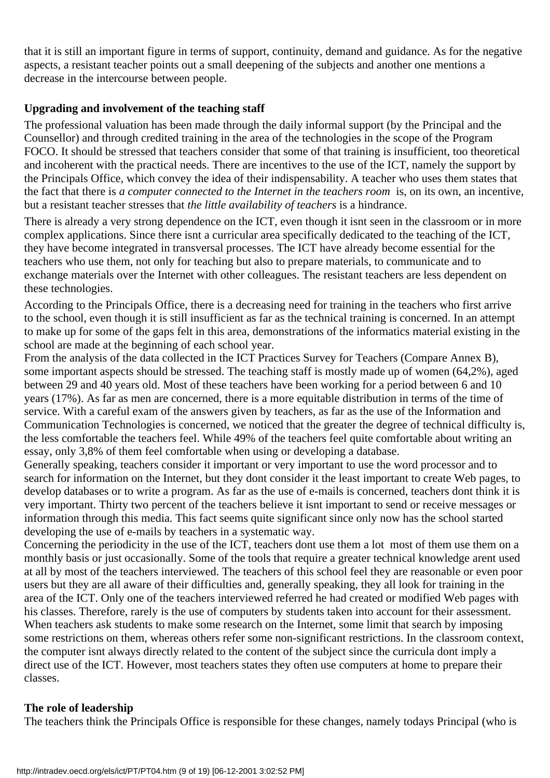that it is still an important figure in terms of support, continuity, demand and guidance. As for the negative aspects, a resistant teacher points out a small deepening of the subjects and another one mentions a decrease in the intercourse between people.

#### **Upgrading and involvement of the teaching staff**

The professional valuation has been made through the daily informal support (by the Principal and the Counsellor) and through credited training in the area of the technologies in the scope of the Program FOCO. It should be stressed that teachers consider that some of that training is insufficient, too theoretical and incoherent with the practical needs. There are incentives to the use of the ICT, namely the support by the Principals Office, which convey the idea of their indispensability. A teacher who uses them states that the fact that there is *a computer connected to the Internet in the teachers room* is, on its own, an incentive, but a resistant teacher stresses that *the little availability of teachers* is a hindrance.

There is already a very strong dependence on the ICT, even though it isn t seen in the classroom or in more complex applications. Since there isnt a curricular area specifically dedicated to the teaching of the ICT, they have become integrated in transversal processes. The ICT have already become essential for the teachers who use them, not only for teaching but also to prepare materials, to communicate and to exchange materials over the Internet with other colleagues. The resistant teachers are less dependent on these technologies.

According to the Principal s Office, there is a decreasing need for training in the teachers who first arrive to the school, even though it is still insufficient as far as the technical training is concerned. In an attempt to make up for some of the gaps felt in this area, demonstrations of the informatics material existing in the school are made at the beginning of each school year.

From the analysis of the data collected in the ICT Practices Survey for Teachers (Compare Annex B), some important aspects should be stressed. The teaching staff is mostly made up of women (64,2%), aged between 29 and 40 years old. Most of these teachers have been working for a period between 6 and 10 years (17%). As far as men are concerned, there is a more equitable distribution in terms of the time of service. With a careful exam of the answers given by teachers, as far as the use of the Information and Communication Technologies is concerned, we noticed that the greater the degree of technical difficulty is, the less comfortable the teachers feel. While 49% of the teachers feel quite comfortable about writing an essay, only 3,8% of them feel comfortable when using or developing a database.

Generally speaking, teachers consider it important or very important to use the word processor and to search for information on the Internet, but they don t consider it the least important to create Web pages, to develop databases or to write a program. As far as the use of e-mails is concerned, teachers dont think it is very important. Thirty two percent of the teachers believe it isnt important to send or receive messages or information through this media. This fact seems quite significant since only now has the school started developing the use of e-mails by teachers in a systematic way.

Concerning the periodicity in the use of the ICT, teachers don t use them a lot most of them use them on a monthly basis or just occasionally. Some of the tools that require a greater technical knowledge arent used at all by most of the teachers interviewed. The teachers of this school feel they are reasonable or even poor users but they are all aware of their difficulties and, generally speaking, they all look for training in the area of the ICT. Only one of the teachers interviewed referred he had created or modified Web pages with his classes. Therefore, rarely is the use of computers by students taken into account for their assessment. When teachers ask students to make some research on the Internet, some limit that search by imposing some restrictions on them, whereas others refer some non-significant restrictions. In the classroom context, the computer isnt always directly related to the content of the subject since the curricula dont imply a direct use of the ICT. However, most teachers states they often use computers at home to prepare their classes.

#### **The role of leadership**

The teachers think the Principal s Office is responsible for these changes, namely today s Principal (who is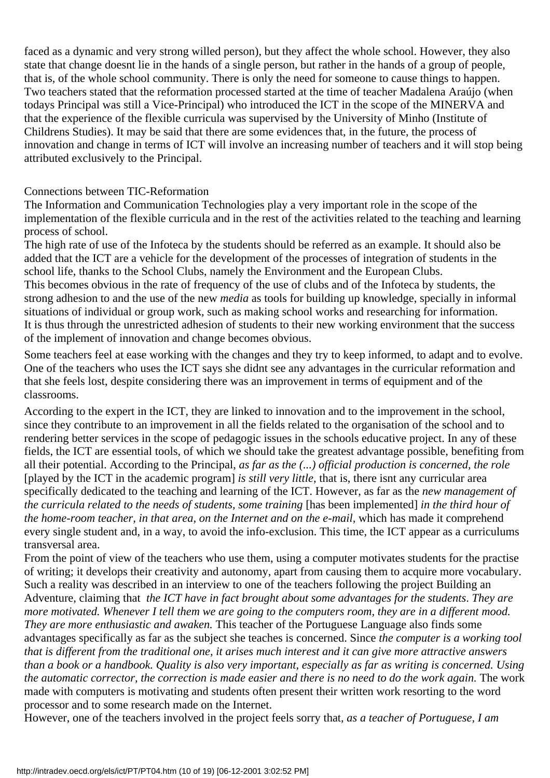faced as a dynamic and very strong willed person), but they affect the whole school. However, they also state that change doesnt lie in the hands of a single person, but rather in the hands of a group of people, that is, of the whole school community. There is only the need for someone to cause things to happen. Two teachers stated that the reformation processed started at the time of teacher Madalena Araújo (when todays Principal was still a Vice-Principal) who introduced the ICT in the scope of the MINERVA and that the experience of the flexible curricula was supervised by the University of Minho (Institute of Children s Studies). It may be said that there are some evidences that, in the future, the process of innovation and change in terms of ICT will involve an increasing number of teachers and it will stop being attributed exclusively to the Principal.

#### Connections between TIC-Reformation

The Information and Communication Technologies play a very important role in the scope of the implementation of the flexible curricula and in the rest of the activities related to the teaching and learning process of school.

The high rate of use of the Infoteca by the students should be referred as an example. It should also be added that the ICT are a vehicle for the development of the processes of integration of students in the school life, thanks to the School Clubs, namely the Environment and the European Clubs. This becomes obvious in the rate of frequency of the use of clubs and of the Infoteca by students, the strong adhesion to and the use of the new *media* as tools for building up knowledge, specially in informal situations of individual or group work, such as making school works and researching for information. It is thus through the unrestricted adhesion of students to their new working environment that the success of the implement of innovation and change becomes obvious.

Some teachers feel at ease working with the changes and they try to keep informed, to adapt and to evolve. One of the teachers who uses the ICT says she didn t see any advantages in the curricular reformation and that she feels lost, despite considering there was an improvement in terms of equipment and of the classrooms.

According to the expert in the ICT, they are linked to innovation and to the improvement in the school, since they contribute to an improvement in all the fields related to the organisation of the school and to rendering better services in the scope of pedagogic issues in the school s educative project. In any of these fields, the ICT are essential tools, of which we should take the greatest advantage possible, benefiting from all their potential. According to the Principal, *as far as the (...) official production is concerned, the role* [played by the ICT in the academic program] *is still very little,* that is, there isnt any curricular area specifically dedicated to the teaching and learning of the ICT. However, as far as the *new management of the curricula related to the needs of students, some training* [has been implemented] *in the third hour of the home-room teacher, in that area, on the Internet and on the e-mail, which has made it comprehend* every single student and, in a way, to avoid the info-exclusion. This time, the ICT appear as a curriculums transversal area.

From the point of view of the teachers who use them, using a computer motivates students for the practise of writing; it develops their creativity and autonomy, apart from causing them to acquire more vocabulary. Such a reality was described in an interview to one of the teachers following the project Building an Adventure, claiming that *the ICT have in fact brought about some advantages for the students*. *They are more motivated. Whenever I tell them we are going to the computers room, they are in a different mood. They are more enthusiastic and awaken.* This teacher of the Portuguese Language also finds some advantages specifically as far as the subject she teaches is concerned. Since *the computer is a working tool that is different from the traditional one, it arises much interest and it can give more attractive answers than a book or a handbook. Quality is also very important, especially as far as writing is concerned. Using the automatic corrector, the correction is made easier and there is no need to do the work again.* The work made with computers is motivating and students often present their written work resorting to the word processor and to some research made on the Internet.

However, one of the teachers involved in the project feels sorry that, *as a teacher of Portuguese, I am*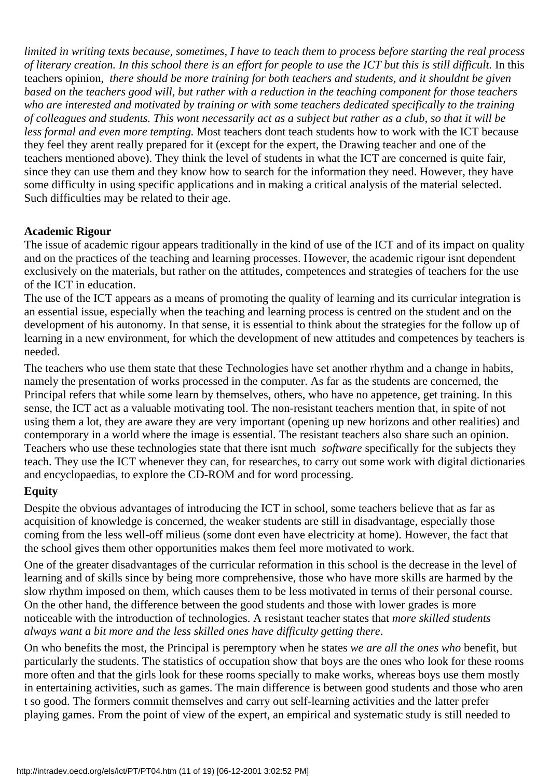*limited in writing texts because, sometimes, I have to teach them to process before starting the real process of literary creation. In this school there is an effort for people to use the ICT but this is still difficult.* In this teacher s opinion, *there should be more training for both teachers and students, and it shouldn t be given based on the teachers good will, but rather with a reduction in the teaching component for those teachers who are interested and motivated by training or with some teachers dedicated specifically to the training of colleagues and students. This wont necessarily act as a subject but rather as a club, so that it will be* less formal and even more tempting. Most teachers don t teach students how to work with the ICT because they feel they arent really prepared for it (except for the expert, the Drawing teacher and one of the teachers mentioned above). They think the level of students in what the ICT are concerned is quite fair, since they can use them and they know how to search for the information they need. However, they have some difficulty in using specific applications and in making a critical analysis of the material selected. Such difficulties may be related to their age.

#### **Academic Rigour**

The issue of academic rigour appears traditionally in the kind of use of the ICT and of its impact on quality and on the practices of the teaching and learning processes. However, the academic rigour isnt dependent exclusively on the materials, but rather on the attitudes, competences and strategies of teachers for the use of the ICT in education.

The use of the ICT appears as a means of promoting the quality of learning and its curricular integration is an essential issue, especially when the teaching and learning process is centred on the student and on the development of his autonomy. In that sense, it is essential to think about the strategies for the follow up of learning in a new environment, for which the development of new attitudes and competences by teachers is needed.

The teachers who use them state that these Technologies have set another rhythm and a change in habits, namely the presentation of works processed in the computer. As far as the students are concerned, the Principal refers that while some learn by themselves, others, who have no appetence, get training. In this sense, the ICT act as a valuable motivating tool. The non-resistant teachers mention that, in spite of not using them a lot, they are aware they are very important (opening up new horizons and other realities) and contemporary in a world where the image is essential. The resistant teachers also share such an opinion. Teachers who use these technologies state that there isnt much *software* specifically for the subjects they teach. They use the ICT whenever they can, for researches, to carry out some work with digital dictionaries and encyclopaedias, to explore the CD-ROM and for word processing.

#### **Equity**

Despite the obvious advantages of introducing the ICT in school, some teachers believe that as far as acquisition of knowledge is concerned, the weaker students are still in disadvantage, especially those coming from the less well-off milieus (some dont even have electricity at home). However, the fact that the school gives them other opportunities makes them feel more motivated to work.

One of the greater disadvantages of the curricular reformation in this school is the decrease in the level of learning and of skills since by being more comprehensive, those who have more skills are harmed by the slow rhythm imposed on them, which causes them to be less motivated in terms of their personal course. On the other hand, the difference between the good students and those with lower grades is more noticeable with the introduction of technologies. A resistant teacher states that *more skilled students always want a bit more and the less skilled ones have difficulty getting there*.

On who benefits the most, the Principal is peremptory when he states *we are all the ones who* benefit, but particularly the students. The statistics of occupation show that boys are the ones who look for these rooms more often and that the girls look for these rooms specially to make works, whereas boys use them mostly in entertaining activities, such as games. The main difference is between good students and those who aren t so good. The formers commit themselves and carry out self-learning activities and the latter prefer playing games. From the point of view of the expert, an empirical and systematic study is still needed to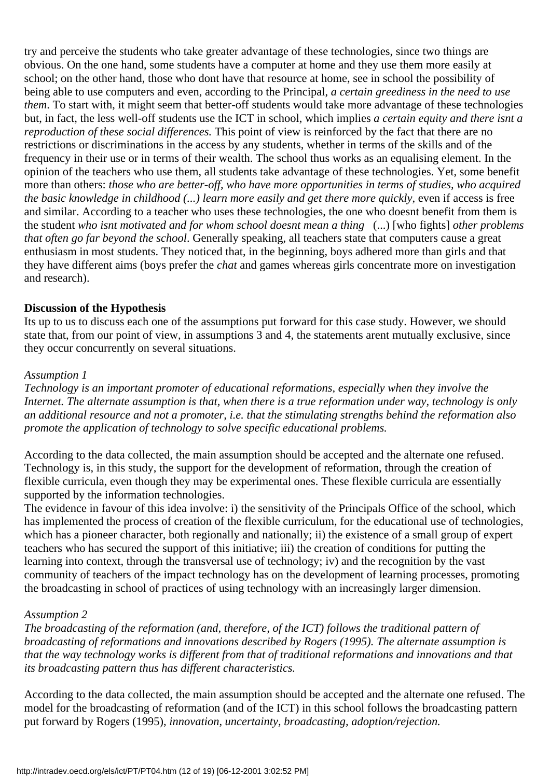try and perceive the students who take greater advantage of these technologies, since two things are obvious. On the one hand, some students have a computer at home and they use them more easily at school; on the other hand, those who dont have that resource at home, see in school the possibility of being able to use computers and even, according to the Principal, *a certain greediness in the need to use them*. To start with, it might seem that better-off students would take more advantage of these technologies but, in fact, the less well-off students use the ICT in school, which implies *a certain equity and there isnt a reproduction of these social differences.* This point of view is reinforced by the fact that there are no restrictions or discriminations in the access by any students, whether in terms of the skills and of the frequency in their use or in terms of their wealth. The school thus works as an equalising element. In the opinion of the teachers who use them, all students take advantage of these technologies. Yet, some benefit more than others: *those who are better-off, who have more opportunities in terms of studies, who acquired the basic knowledge in childhood (...) learn more easily and get there more quickly*, even if access is free and similar. According to a teacher who uses these technologies, the one who doesnt benefit from them is the student *who isnt motivated and for whom school doesnt mean a thing* (...) [who fights] *other problems that often go far beyond the school*. Generally speaking, all teachers state that computers cause a great enthusiasm in most students. They noticed that, in the beginning, boys adhered more than girls and that they have different aims (boys prefer the *chat* and games whereas girls concentrate more on investigation and research).

#### **Discussion of the Hypothesis**

It s up to us to discuss each one of the assumptions put forward for this case study. However, we should state that, from our point of view, in assumptions 3 and 4, the statements arent mutually exclusive, since they occur concurrently on several situations.

#### *Assumption 1*

*Technology is an important promoter of educational reformations, especially when they involve the Internet. The alternate assumption is that, when there is a true reformation under way, technology is only an additional resource and not a promoter, i.e. that the stimulating strengths behind the reformation also promote the application of technology to solve specific educational problems.*

According to the data collected, the main assumption should be accepted and the alternate one refused. Technology is, in this study, the support for the development of reformation, through the creation of flexible curricula, even though they may be experimental ones. These flexible curricula are essentially supported by the information technologies.

The evidence in favour of this idea involve: i) the sensitivity of the Principals Office of the school, which has implemented the process of creation of the flexible curriculum, for the educational use of technologies, which has a pioneer character, both regionally and nationally; ii) the existence of a small group of expert teachers who has secured the support of this initiative; iii) the creation of conditions for putting the learning into context, through the transversal use of technology; iv) and the recognition by the vast community of teachers of the impact technology has on the development of learning processes, promoting the broadcasting in school of practices of using technology with an increasingly larger dimension.

#### *Assumption 2*

*The broadcasting of the reformation (and, therefore, of the ICT) follows the traditional pattern of broadcasting of reformations and innovations described by Rogers (1995). The alternate assumption is that the way technology works is different from that of traditional reformations and innovations and that its broadcasting pattern thus has different characteristics.*

According to the data collected, the main assumption should be accepted and the alternate one refused. The model for the broadcasting of reformation (and of the ICT) in this school follows the broadcasting pattern put forward by Rogers (1995), *innovation, uncertainty, broadcasting, adoption/rejection.*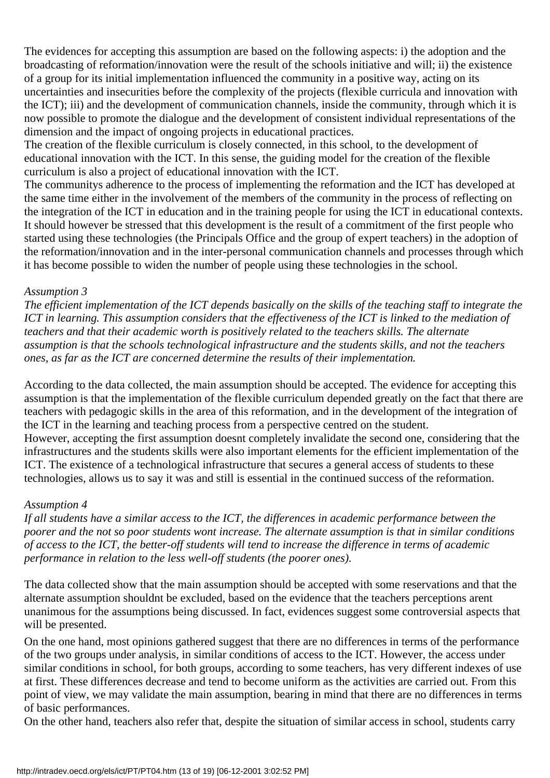The evidences for accepting this assumption are based on the following aspects: i) the adoption and the broadcasting of reformation/innovation were the result of the schools initiative and will; ii) the existence of a group for its initial implementation influenced the community in a positive way, acting on its uncertainties and insecurities before the complexity of the projects (flexible curricula and innovation with the ICT); iii) and the development of communication channels, inside the community, through which it is now possible to promote the dialogue and the development of consistent individual representations of the dimension and the impact of ongoing projects in educational practices.

The creation of the flexible curriculum is closely connected, in this school, to the development of educational innovation with the ICT. In this sense, the guiding model for the creation of the flexible curriculum is also a project of educational innovation with the ICT.

The community s adherence to the process of implementing the reformation and the ICT has developed at the same time either in the involvement of the members of the community in the process of reflecting on the integration of the ICT in education and in the training people for using the ICT in educational contexts. It should however be stressed that this development is the result of a commitment of the first people who started using these technologies (the Principals Office and the group of expert teachers) in the adoption of the reformation/innovation and in the inter-personal communication channels and processes through which it has become possible to widen the number of people using these technologies in the school.

#### *Assumption 3*

*The efficient implementation of the ICT depends basically on the skills of the teaching staff to integrate the ICT in learning. This assumption considers that the effectiveness of the ICT is linked to the mediation of teachers and that their academic worth is positively related to the teachers skills. The alternate assumption is that the schools technological infrastructure and the students skills, and not the teachers ones, as far as the ICT are concerned determine the results of their implementation.*

According to the data collected, the main assumption should be accepted. The evidence for accepting this assumption is that the implementation of the flexible curriculum depended greatly on the fact that there are teachers with pedagogic skills in the area of this reformation, and in the development of the integration of the ICT in the learning and teaching process from a perspective centred on the student. However, accepting the first assumption doesnt completely invalidate the second one, considering that the infrastructures and the students skills were also important elements for the efficient implementation of the ICT. The existence of a technological infrastructure that secures a general access of students to these technologies, allows us to say it was and still is essential in the continued success of the reformation.

#### *Assumption 4*

*If all students have a similar access to the ICT, the differences in academic performance between the poorer and the not so poor students wont increase. The alternate assumption is that in similar conditions of access to the ICT, the better-off students will tend to increase the difference in terms of academic performance in relation to the less well-off students (the poorer ones).*

The data collected show that the main assumption should be accepted with some reservations and that the alternate assumption shouldn t be excluded, based on the evidence that the teachers perceptions arent unanimous for the assumptions being discussed. In fact, evidences suggest some controversial aspects that will be presented.

On the one hand, most opinions gathered suggest that there are no differences in terms of the performance of the two groups under analysis, in similar conditions of access to the ICT. However, the access under similar conditions in school, for both groups, according to some teachers, has very different indexes of use at first. These differences decrease and tend to become uniform as the activities are carried out. From this point of view, we may validate the main assumption, bearing in mind that there are no differences in terms of basic performances.

On the other hand, teachers also refer that, despite the situation of similar access in school, students carry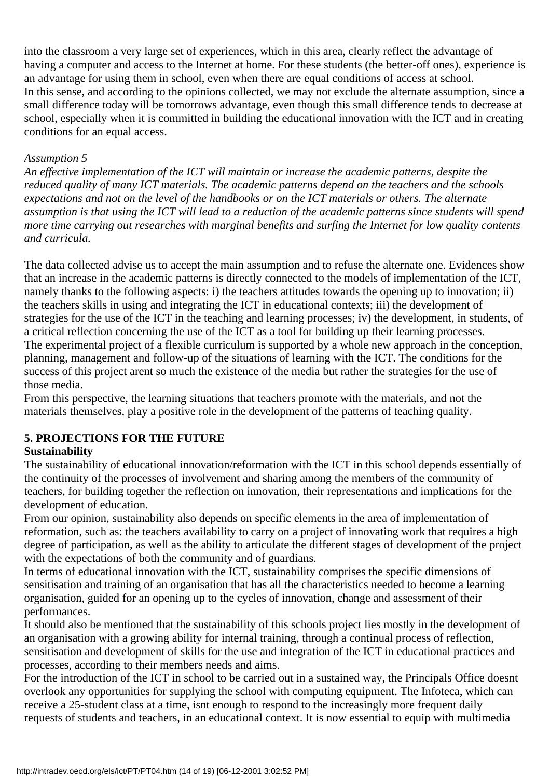into the classroom a very large set of experiences, which in this area, clearly reflect the advantage of having a computer and access to the Internet at home. For these students (the better-off ones), experience is an advantage for using them in school, even when there are equal conditions of access at school. In this sense, and according to the opinions collected, we may not exclude the alternate assumption, since a small difference today will be tomorrow s advantage, even though this small difference tends to decrease at school, especially when it is committed in building the educational innovation with the ICT and in creating conditions for an equal access.

#### *Assumption 5*

*An effective implementation of the ICT will maintain or increase the academic patterns, despite the reduced quality of many ICT materials. The academic patterns depend on the teachers and the schools expectations and not on the level of the handbooks or on the ICT materials or others. The alternate assumption is that using the ICT will lead to a reduction of the academic patterns since students will spend more time carrying out researches with marginal benefits and surfing the Internet for low quality contents and curricula.*

The data collected advise us to accept the main assumption and to refuse the alternate one. Evidences show that an increase in the academic patterns is directly connected to the models of implementation of the ICT, namely thanks to the following aspects: i) the teachers attitudes towards the opening up to innovation; ii) the teachers skills in using and integrating the ICT in educational contexts; iii) the development of strategies for the use of the ICT in the teaching and learning processes; iv) the development, in students, of a critical reflection concerning the use of the ICT as a tool for building up their learning processes. The experimental project of a flexible curriculum is supported by a whole new approach in the conception, planning, management and follow-up of the situations of learning with the ICT. The conditions for the success of this project arent so much the existence of the media but rather the strategies for the use of those media.

From this perspective, the learning situations that teachers promote with the materials, and not the materials themselves, play a positive role in the development of the patterns of teaching quality.

#### **5. PROJECTIONS FOR THE FUTURE**

#### **Sustainability**

The sustainability of educational innovation/reformation with the ICT in this school depends essentially of the continuity of the processes of involvement and sharing among the members of the community of teachers, for building together the reflection on innovation, their representations and implications for the development of education.

From our opinion, sustainability also depends on specific elements in the area of implementation of reformation, such as: the teachers availability to carry on a project of innovating work that requires a high degree of participation, as well as the ability to articulate the different stages of development of the project with the expectations of both the community and of guardians.

In terms of educational innovation with the ICT, sustainability comprises the specific dimensions of sensitisation and training of an organisation that has all the characteristics needed to become a learning organisation, guided for an opening up to the cycles of innovation, change and assessment of their performances.

It should also be mentioned that the sustainability of this school s project lies mostly in the development of an organisation with a growing ability for internal training, through a continual process of reflection, sensitisation and development of skills for the use and integration of the ICT in educational practices and processes, according to their members needs and aims.

For the introduction of the ICT in school to be carried out in a sustained way, the Principal s Office doesn t overlook any opportunities for supplying the school with computing equipment. The Infoteca, which can receive a 25-student class at a time, isn t enough to respond to the increasingly more frequent daily requests of students and teachers, in an educational context. It is now essential to equip with multimedia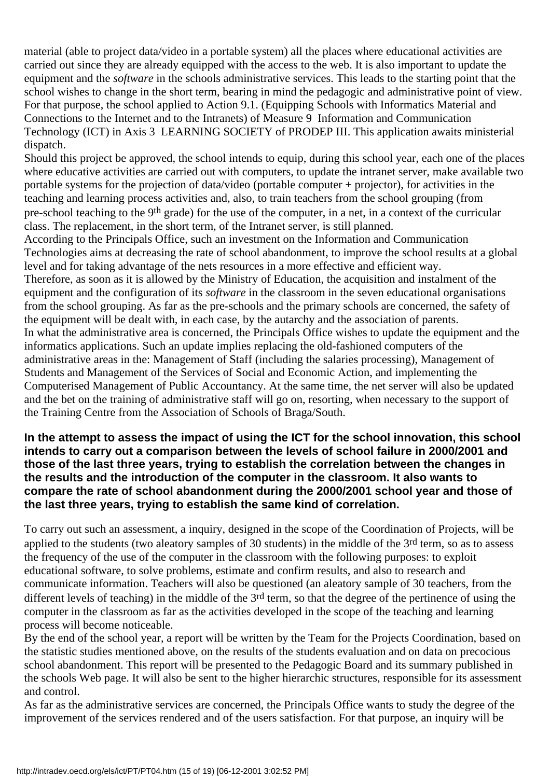material (able to project data/video in a portable system) all the places where educational activities are carried out since they are already equipped with the access to the web. It is also important to update the equipment and the *software* in the school s administrative services. This leads to the starting point that the school wishes to change in the short term, bearing in mind the pedagogic and administrative point of view. For that purpose, the school applied to Action 9.1. (Equipping Schools with Informatics Material and Connections to the Internet and to the Intranets) of Measure 9 Information and Communication Technology (ICT) in Axis 3 LEARNING SOCIETY of PRODEP III. This application awaits ministerial dispatch.

Should this project be approved, the school intends to equip, during this school year, each one of the places where educative activities are carried out with computers, to update the intranet server, make available two portable systems for the projection of data/video (portable computer + projector), for activities in the teaching and learning process activities and, also, to train teachers from the school grouping (from pre-school teaching to the 9th grade) for the use of the computer, in a net, in a context of the curricular class. The replacement, in the short term, of the Intranet server, is still planned.

According to the Principals Office, such an investment on the Information and Communication Technologies aims at decreasing the rate of school abandonment, to improve the school results at a global level and for taking advantage of the net s resources in a more effective and efficient way. Therefore, as soon as it is allowed by the Ministry of Education, the acquisition and instalment of the equipment and the configuration of its *software* in the classroom in the seven educational organisations from the school grouping. As far as the pre-schools and the primary schools are concerned, the safety of the equipment will be dealt with, in each case, by the autarchy and the association of parents. In what the administrative area is concerned, the Principal s Office wishes to update the equipment and the informatics applications. Such an update implies replacing the old-fashioned computers of the administrative areas in the: Management of Staff (including the salaries processing), Management of Students and Management of the Services of Social and Economic Action, and implementing the Computerised Management of Public Accountancy. At the same time, the net server will also be updated and the bet on the training of administrative staff will go on, resorting, when necessary to the support of the Training Centre from the Association of Schools of Braga/South.

#### **In the attempt to assess the impact of using the ICT for the school innovation, this school intends to carry out a comparison between the levels of school failure in 2000/2001 and those of the last three years, trying to establish the correlation between the changes in the results and the introduction of the computer in the classroom. It also wants to compare the rate of school abandonment during the 2000/2001 school year and those of the last three years, trying to establish the same kind of correlation.**

To carry out such an assessment, a inquiry, designed in the scope of the Coordination of Projects, will be applied to the students (two aleatory samples of 30 students) in the middle of the 3<sup>rd</sup> term, so as to assess the frequency of the use of the computer in the classroom with the following purposes: to exploit educational software, to solve problems, estimate and confirm results, and also to research and communicate information. Teachers will also be questioned (an aleatory sample of 30 teachers, from the different levels of teaching) in the middle of the 3<sup>rd</sup> term, so that the degree of the pertinence of using the computer in the classroom as far as the activities developed in the scope of the teaching and learning process will become noticeable.

By the end of the school year, a report will be written by the Team for the Projects Coordination, based on the statistic studies mentioned above, on the results of the students evaluation and on data on precocious school abandonment. This report will be presented to the Pedagogic Board and its summary published in the schools Web page. It will also be sent to the higher hierarchic structures, responsible for its assessment and control.

As far as the administrative services are concerned, the Principal s Office wants to study the degree of the improvement of the services rendered and of the users satisfaction. For that purpose, an inquiry will be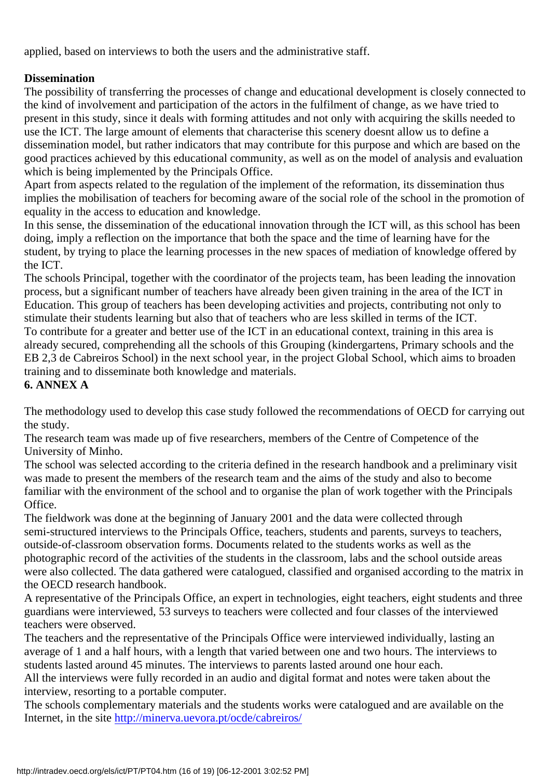applied, based on interviews to both the users and the administrative staff.

#### **Dissemination**

The possibility of transferring the processes of change and educational development is closely connected to the kind of involvement and participation of the actors in the fulfilment of change, as we have tried to present in this study, since it deals with forming attitudes and not only with acquiring the skills needed to use the ICT. The large amount of elements that characterise this scenery doesn t allow us to define a dissemination model, but rather indicators that may contribute for this purpose and which are based on the good practices achieved by this educational community, as well as on the model of analysis and evaluation which is being implemented by the Principal s Office.

Apart from aspects related to the regulation of the implement of the reformation, its dissemination thus implies the mobilisation of teachers for becoming aware of the social role of the school in the promotion of equality in the access to education and knowledge.

In this sense, the dissemination of the educational innovation through the ICT will, as this school has been doing, imply a reflection on the importance that both the space and the time of learning have for the student, by trying to place the learning processes in the new spaces of mediation of knowledge offered by the ICT.

The school s Principal, together with the coordinator of the projects team, has been leading the innovation process, but a significant number of teachers have already been given training in the area of the ICT in Education. This group of teachers has been developing activities and projects, contributing not only to stimulate their students learning but also that of teachers who are less skilled in terms of the ICT. To contribute for a greater and better use of the ICT in an educational context, training in this area is already secured, comprehending all the schools of this Grouping (kindergartens, Primary schools and the EB 2,3 de Cabreiros School) in the next school year, in the project Global School, which aims to broaden training and to disseminate both knowledge and materials. **6. ANNEX A**

The methodology used to develop this case study followed the recommendations of OECD for carrying out the study.

The research team was made up of five researchers, members of the Centre of Competence of the University of Minho.

The school was selected according to the criteria defined in the research handbook and a preliminary visit was made to present the members of the research team and the aims of the study and also to become familiar with the environment of the school and to organise the plan of work together with the Principal s Office.

The fieldwork was done at the beginning of January 2001 and the data were collected through semi-structured interviews to the Principal s Office, teachers, students and parents, surveys to teachers, outside-of-classroom observation forms. Documents related to the students works as well as the photographic record of the activities of the students in the classroom, labs and the school outside areas were also collected. The data gathered were catalogued, classified and organised according to the matrix in the OECD research handbook.

A representative of the Principal s Office, an expert in technologies, eight teachers, eight students and three guardians were interviewed, 53 surveys to teachers were collected and four classes of the interviewed teachers were observed.

The teachers and the representative of the Principal s Office were interviewed individually, lasting an average of 1 and a half hours, with a length that varied between one and two hours. The interviews to students lasted around 45 minutes. The interviews to parents lasted around one hour each.

All the interviews were fully recorded in an audio and digital format and notes were taken about the interview, resorting to a portable computer.

The school s complementary materials and the students works were catalogued and are available on the Internet, in the site <http://minerva.uevora.pt/ocde/cabreiros/>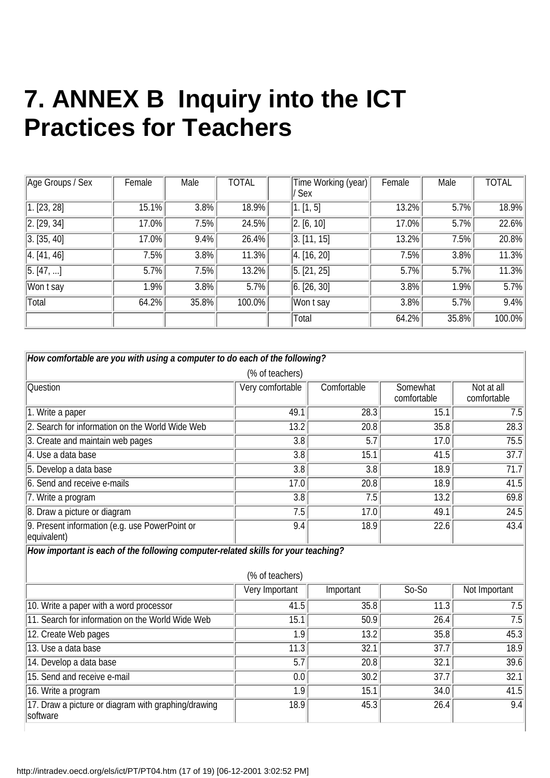## **7. ANNEX B Inquiry into the ICT Practices for Teachers**

| Age Groups / Sex | Female | Male  | <b>TOTAL</b> | Time Working (year) | Female | Male  | <b>TOTAL</b> |
|------------------|--------|-------|--------------|---------------------|--------|-------|--------------|
|                  |        |       |              | 'Sex                |        |       |              |
| [1. [23, 28]     | 15.1%  | 3.8%  | 18.9%        | $\sqrt{1. [1, 5]}$  | 13.2%  | 5.7%  | 18.9%        |
| [2. [29, 34]     | 17.0%  | 7.5%  | 24.5%        | 2. [6, 10]          | 17.0%  | 5.7%  | 22.6%        |
| 3. [35, 40]      | 17.0%  | 9.4%  | 26.4%        | 3. [11, 15]         | 13.2%  | 7.5%  | 20.8%        |
| 4. [41, 46]      | 7.5%   | 3.8%  | 11.3%        | 4. [16, 20]         | 7.5%   | 3.8%  | 11.3%        |
| 5. [47, ]        | 5.7%   | 7.5%  | 13.2%        | 5. [21, 25]         | 5.7%   | 5.7%  | 11.3%        |
| Won t say        | 1.9%   | 3.8%  | 5.7%         | 6. [26, 30]         | 3.8%   | 1.9%  | 5.7%         |
| Total            | 64.2%  | 35.8% | 100.0%       | Won t say           | 3.8%   | 5.7%  | 9.4%         |
|                  |        |       |              | Total               | 64.2%  | 35.8% | 100.0%       |

| How comfortable are you with using a computer to do each of the following?                           |                  |             |                         |                           |  |  |  |  |
|------------------------------------------------------------------------------------------------------|------------------|-------------|-------------------------|---------------------------|--|--|--|--|
| (% of teachers)                                                                                      |                  |             |                         |                           |  |  |  |  |
| <b>Question</b>                                                                                      | Very comfortable | Comfortable | Somewhat<br>comfortable | Not at all<br>comfortable |  |  |  |  |
| 1. Write a paper                                                                                     | 49.1             | 28.3        | 15.1                    | 7.5                       |  |  |  |  |
| 2. Search for information on the World Wide Web                                                      | 13.2             | 20.8        | 35.8                    | 28.3                      |  |  |  |  |
| 3. Create and maintain web pages                                                                     | $\overline{3.8}$ | 5.7         | 17.0                    | 75.5                      |  |  |  |  |
| 4. Use a data base                                                                                   | $\overline{3.8}$ | 15.1        | 41.5                    | 37.7                      |  |  |  |  |
| 5. Develop a data base                                                                               | 3.8              | 3.8         | 18.9                    | 71.7                      |  |  |  |  |
| 6. Send and receive e-mails                                                                          | 17.0             | 20.8        | 18.9                    | 41.5                      |  |  |  |  |
| 7. Write a program                                                                                   | 3.8              | 7.5         | 13.2                    | 69.8                      |  |  |  |  |
| 8. Draw a picture or diagram                                                                         | 7.5              | 17.0        | 49.1                    | 24.5                      |  |  |  |  |
| 9. Present information (e.g. use PowerPoint or<br>equivalent)                                        | 9.4              | 18.9        | 22.6                    | 43.4                      |  |  |  |  |
| How important is each of the following computer-related skills for your teaching?<br>(% of teachers) |                  |             |                         |                           |  |  |  |  |
|                                                                                                      | Very Important   | Important   | $So-So$                 | Not Important             |  |  |  |  |
| 10. Write a paper with a word processor                                                              | 41.5             | 35.8        | 11.3                    | 7.5                       |  |  |  |  |
| 11. Search for information on the World Wide Web                                                     | 15.1             | 50.9        | 26.4                    | 7.5                       |  |  |  |  |
| 12. Create Web pages                                                                                 | $\overline{1.9}$ | 13.2        | 35.8                    | 45.3                      |  |  |  |  |
| 13. Use a data base                                                                                  | 11.3             | 32.1        | 37.7                    | 18.9                      |  |  |  |  |
| 14. Develop a data base                                                                              | 5.7              | 20.8        | 32.1                    | 39.6                      |  |  |  |  |
| 15. Send and receive e-mail                                                                          | 0.0              | 30.2        | 37.7                    | 32.1                      |  |  |  |  |
| 16. Write a program                                                                                  | 1.9              | 15.1        | 34.0                    | 41.5                      |  |  |  |  |
| 17. Draw a picture or diagram with graphing/drawing<br>software                                      | 18.9             | 45.3        | 26.4                    | 9.4                       |  |  |  |  |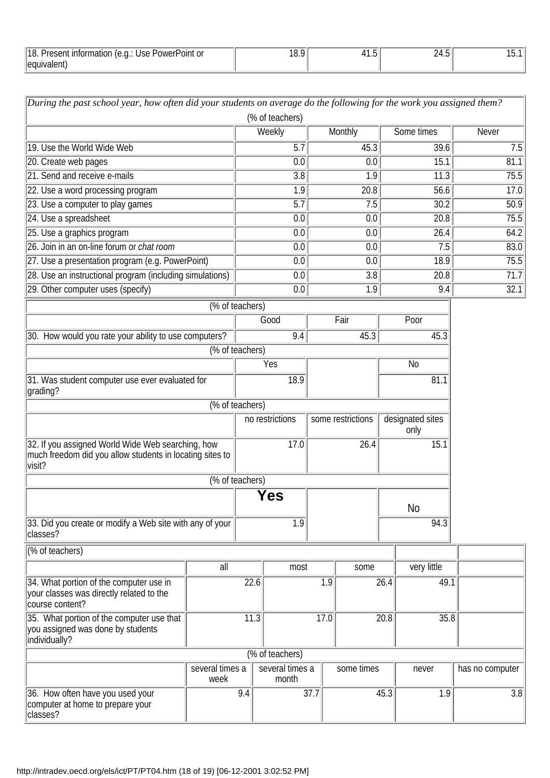| 11۶<br>PowerPoint or<br>'Jse<br>ונזור<br>$\overline{1}$<br>÷ U. | . v. z<br>$\sim$ $\sim$ | ь.<br>ن ا | ں ، ۔ |  |
|-----------------------------------------------------------------|-------------------------|-----------|-------|--|
| leanin<br>aiehi                                                 |                         |           |       |  |

| During the past school year, how often did your students on average do the following for the work you assigned them?    |                         |                 | (% of teachers)          |                  |                   |      |                          |                  |
|-------------------------------------------------------------------------------------------------------------------------|-------------------------|-----------------|--------------------------|------------------|-------------------|------|--------------------------|------------------|
|                                                                                                                         |                         |                 | Weekly                   |                  | Monthly           |      | Some times               | <b>Never</b>     |
| 19. Use the World Wide Web                                                                                              |                         |                 | $\overline{5.7}$         |                  | 45.3              |      | 39.6                     | 7.5              |
| 20. Create web pages                                                                                                    |                         |                 | 0.0                      |                  | 0.0               |      | 15.1                     | 81.1             |
| 21. Send and receive e-mails                                                                                            |                         |                 | $\overline{3.8}$         |                  | 1.9               |      | 11.3                     | 75.5             |
| 22. Use a word processing program                                                                                       |                         |                 | 1.9                      |                  | 20.8              |      | 56.6                     | 17.0             |
| 23. Use a computer to play games                                                                                        |                         |                 | 5.7                      |                  | 7.5               |      | 30.2                     | 50.9             |
| 24. Use a spreadsheet                                                                                                   |                         |                 | 0.0                      |                  | 0.0               |      | 20.8                     | 75.5             |
| 25. Use a graphics program                                                                                              |                         |                 | 0.0                      |                  | 0.0               |      | 26.4                     | 64.2             |
| 26. Join in an on-line forum or chat room                                                                               |                         |                 | 0.0                      |                  | 0.0               |      | 7.5                      | 83.0             |
| 27. Use a presentation program (e.g. PowerPoint)                                                                        |                         |                 | 0.0                      |                  | 0.0               |      | 18.9                     | 75.5             |
| 28. Use an instructional program (including simulations)                                                                |                         |                 | 0.0                      |                  | 3.8               |      | 20.8                     | 71.7             |
| 29. Other computer uses (specify)                                                                                       |                         |                 | 0.0                      |                  | 1.9               |      | 9.4                      | 32.1             |
|                                                                                                                         | (% of teachers)         |                 |                          |                  |                   |      |                          |                  |
|                                                                                                                         |                         |                 | Good                     |                  | Fair              |      | Poor                     |                  |
| 30. How would you rate your ability to use computers?                                                                   |                         |                 | 9.4                      |                  | 45.3              |      | 45.3                     |                  |
|                                                                                                                         |                         | (% of teachers) |                          |                  |                   |      |                          |                  |
|                                                                                                                         |                         |                 | Yes                      |                  |                   |      | N <sub>0</sub>           |                  |
| 31. Was student computer use ever evaluated for<br>grading?                                                             |                         |                 | 18.9                     |                  |                   |      | 81.1                     |                  |
|                                                                                                                         |                         | (% of teachers) |                          |                  |                   |      |                          |                  |
|                                                                                                                         |                         |                 | no restrictions          |                  | some restrictions |      | designated sites<br>only |                  |
| 32. If you assigned World Wide Web searching, how<br>much freedom did you allow students in locating sites to<br>visit? |                         |                 | 17.0                     |                  | 26.4              |      | 15.1                     |                  |
|                                                                                                                         |                         | (% of teachers) |                          |                  |                   |      |                          |                  |
|                                                                                                                         |                         |                 | Yes                      |                  |                   |      | N <sub>0</sub>           |                  |
| 33. Did you create or modify a Web site with any of your<br>classes?                                                    |                         |                 | 1.9                      |                  |                   |      | 94.3                     |                  |
| (% of teachers)                                                                                                         |                         |                 |                          |                  |                   |      |                          |                  |
|                                                                                                                         | all                     |                 | most                     |                  | some              |      | very little              |                  |
| 34. What portion of the computer use in<br>your classes was directly related to the<br>course content?                  |                         | 22.6            |                          | $\overline{1.9}$ |                   | 26.4 | 49.1                     |                  |
| 35. What portion of the computer use that<br>you assigned was done by students<br>individually?                         |                         | 11.3            |                          | 17.0             |                   | 20.8 | 35.8                     |                  |
|                                                                                                                         |                         |                 | (% of teachers)          |                  |                   |      |                          |                  |
|                                                                                                                         | several times a<br>week |                 | several times a<br>month |                  | some times        |      | never                    | has no computer  |
| 36. How often have you used your<br>computer at home to prepare your<br>classes?                                        |                         | 9.4             |                          | 37.7             |                   | 45.3 | 1.9                      | $\overline{3.8}$ |